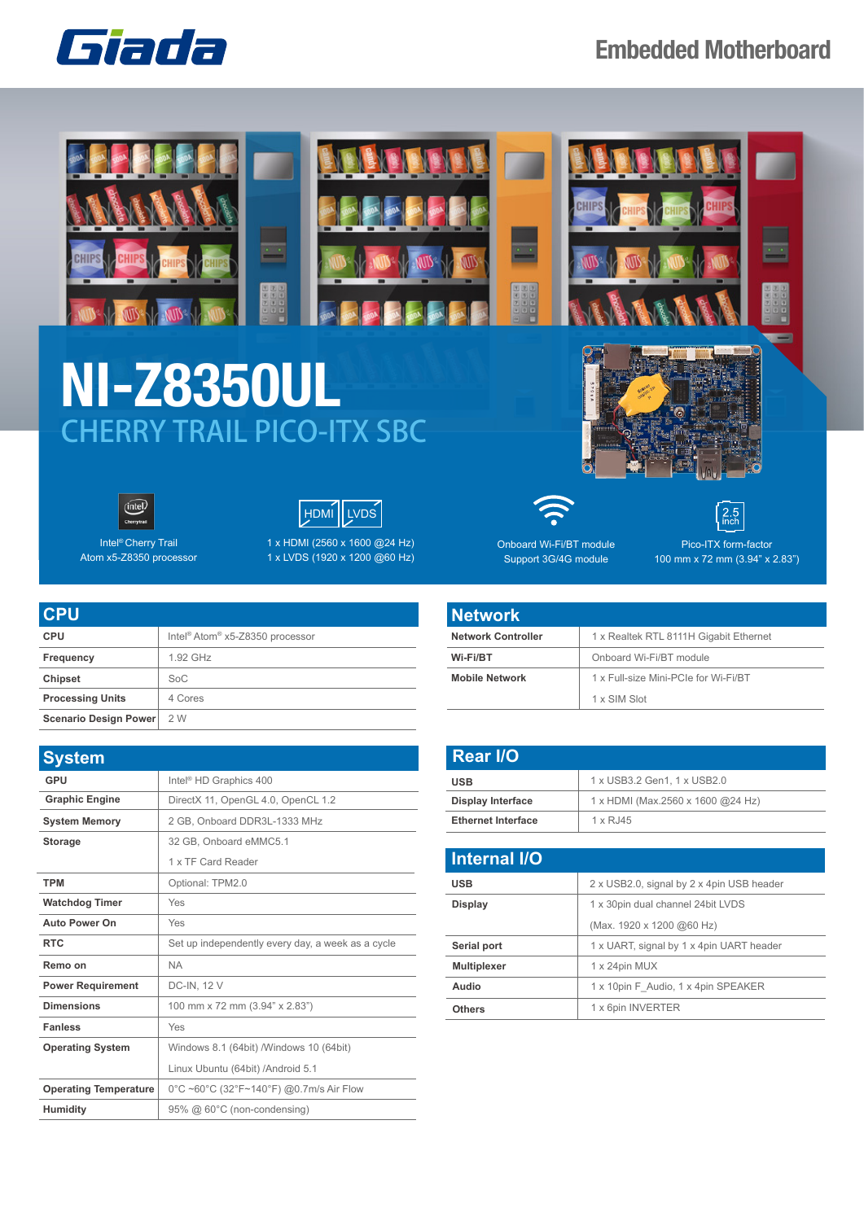

## **Embedded Motherboard**







Intel® Cherry Trail Atom x5-Z8350 processor 1 x HDMI (2560 x 1600 @24 Hz) 1 x LVDS (1920 x 1200 @60 Hz)

| <b>CPU</b>              |                                                         |
|-------------------------|---------------------------------------------------------|
| <b>CPU</b>              | Intel <sup>®</sup> Atom <sup>®</sup> x5-Z8350 processor |
| Frequency               | 1.92 GHz                                                |
| <b>Chipset</b>          | SoC                                                     |
| <b>Processing Units</b> | 4 Cores                                                 |
| Scenario Design Power   | 2 W                                                     |

| <b>System</b>                |                                                   |
|------------------------------|---------------------------------------------------|
| GPU                          | Intel <sup>®</sup> HD Graphics 400                |
| <b>Graphic Engine</b>        | DirectX 11, OpenGL 4.0, OpenCL 1.2                |
| <b>System Memory</b>         | 2 GB, Onboard DDR3L-1333 MHz                      |
| <b>Storage</b>               | 32 GB, Onboard eMMC5.1                            |
|                              | 1 x TF Card Reader                                |
| <b>TPM</b>                   | Optional: TPM2.0                                  |
| <b>Watchdog Timer</b>        | Yes                                               |
| Auto Power On                | Yes                                               |
| <b>RTC</b>                   | Set up independently every day, a week as a cycle |
| Remo on                      | <b>NA</b>                                         |
| <b>Power Requirement</b>     | DC-IN, 12 V                                       |
| <b>Dimensions</b>            | 100 mm x 72 mm (3.94" x 2.83")                    |
| <b>Fanless</b>               | Yes                                               |
| <b>Operating System</b>      | Windows 8.1 (64bit) / Windows 10 (64bit)          |
|                              | Linux Ubuntu (64bit) / Android 5.1                |
| <b>Operating Temperature</b> | 0°C ~60°C (32°F~140°F) @0.7m/s Air Flow           |
| <b>Humidity</b>              | 95% @ 60°C (non-condensing)                       |



Onboard Wi-Fi/BT module Support 3G/4G module

Pico-ITX form-factor 100 mm x 72 mm (3.94" x 2.83")

 $2.5$ 

| <b>Network</b>            |                                        |
|---------------------------|----------------------------------------|
| <b>Network Controller</b> | 1 x Realtek RTL 8111H Gigabit Ethernet |
| Wi-Fi/BT                  | Onboard Wi-Fi/BT module                |
| <b>Mobile Network</b>     | 1 x Full-size Mini-PCIe for Wi-Fi/BT   |
|                           | 1 x SIM Slot                           |

| <b>Rear I/O</b>           |                                   |
|---------------------------|-----------------------------------|
| <b>USB</b>                | 1 x USB3.2 Gen1, 1 x USB2.0       |
| <b>Display Interface</b>  | 1 x HDMI (Max.2560 x 1600 @24 Hz) |
| <b>Ethernet Interface</b> | $1 \times R$ , 145                |

| <b>Internal I/O</b> |                                           |
|---------------------|-------------------------------------------|
| <b>USB</b>          | 2 x USB2.0, signal by 2 x 4pin USB header |
| Display             | 1 x 30pin dual channel 24bit LVDS         |
|                     | (Max. 1920 x 1200 @60 Hz)                 |
| Serial port         | 1 x UART, signal by 1 x 4pin UART header  |
| <b>Multiplexer</b>  | 1 x 24pin MUX                             |
| Audio               | 1 x 10pin F Audio, 1 x 4pin SPEAKER       |
| <b>Others</b>       | 1 x 6pin INVERTER                         |